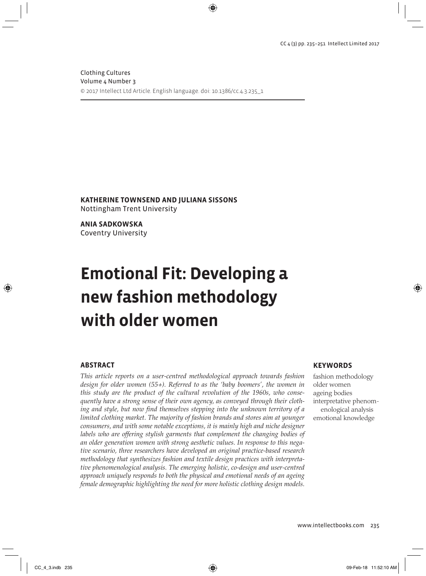Clothing Cultures Volume 4 Number 3 © 2017 Intellect Ltd Article. English language. doi: 10.1386/cc.4.3.235\_1

**KATHERINE TOWNSEND AND JULIANA SISSONS** Nottingham Trent University

**ANIA SADKOWSKA** Coventry University

# **Emotional Fit: Developing a new fashion methodology with older women**

#### **ABSTRACT**

*This article reports on a user-centred methodological approach towards fashion design for older women (55+). Referred to as the 'baby boomers', the women in this study are the product of the cultural revolution of the 1960s, who consequently have a strong sense of their own agency, as conveyed through their clothing and style, but now find themselves stepping into the unknown territory of a limited clothing market. The majority of fashion brands and stores aim at younger consumers, and with some notable exceptions, it is mainly high and niche designer labels who are offering stylish garments that complement the changing bodies of an older generation women with strong aesthetic values. In response to this negative scenario, three researchers have developed an original practice-based research methodology that synthesizes fashion and textile design practices with interpretative phenomenological analysis. The emerging holistic, co-design and user-centred approach uniquely responds to both the physical and emotional needs of an ageing female demographic highlighting the need for more holistic clothing design models.*

#### **KEYWORDS**

fashion methodology older women ageing bodies interpretative phenomenological analysis emotional knowledge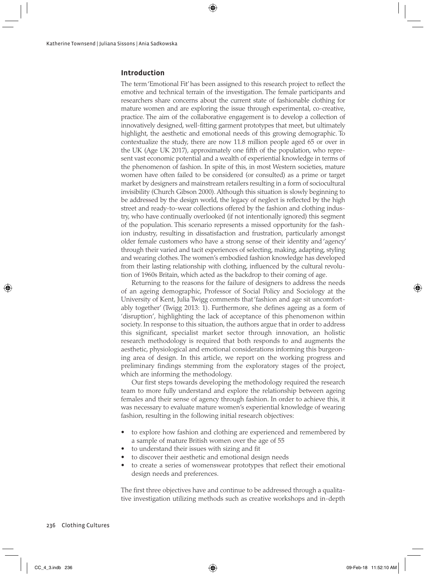## **Introduction**

The term 'Emotional Fit' has been assigned to this research project to reflect the emotive and technical terrain of the investigation. The female participants and researchers share concerns about the current state of fashionable clothing for mature women and are exploring the issue through experimental, co-creative, practice. The aim of the collaborative engagement is to develop a collection of innovatively designed, well-fitting garment prototypes that meet, but ultimately highlight, the aesthetic and emotional needs of this growing demographic. To contextualize the study, there are now 11.8 million people aged 65 or over in the UK (Age UK 2017), approximately one fifth of the population, who represent vast economic potential and a wealth of experiential knowledge in terms of the phenomenon of fashion. In spite of this, in most Western societies, mature women have often failed to be considered (or consulted) as a prime or target market by designers and mainstream retailers resulting in a form of sociocultural invisibility (Church Gibson 2000). Although this situation is slowly beginning to be addressed by the design world, the legacy of neglect is reflected by the high street and ready-to-wear collections offered by the fashion and clothing industry, who have continually overlooked (if not intentionally ignored) this segment of the population. This scenario represents a missed opportunity for the fashion industry, resulting in dissatisfaction and frustration, particularly amongst older female customers who have a strong sense of their identity and 'agency' through their varied and tacit experiences of selecting, making, adapting, styling and wearing clothes. The women's embodied fashion knowledge has developed from their lasting relationship with clothing, influenced by the cultural revolution of 1960s Britain, which acted as the backdrop to their coming of age.

Returning to the reasons for the failure of designers to address the needs of an ageing demographic, Professor of Social Policy and Sociology at the University of Kent, Julia Twigg comments that 'fashion and age sit uncomfortably together' (Twigg 2013: 1). Furthermore, she defines ageing as a form of 'disruption', highlighting the lack of acceptance of this phenomenon within society. In response to this situation, the authors argue that in order to address this significant, specialist market sector through innovation, an holistic research methodology is required that both responds to and augments the aesthetic, physiological and emotional considerations informing this burgeoning area of design. In this article, we report on the working progress and preliminary findings stemming from the exploratory stages of the project, which are informing the methodology.

Our first steps towards developing the methodology required the research team to more fully understand and explore the relationship between ageing females and their sense of agency through fashion. In order to achieve this, it was necessary to evaluate mature women's experiential knowledge of wearing fashion, resulting in the following initial research objectives:

- to explore how fashion and clothing are experienced and remembered by a sample of mature British women over the age of 55
- to understand their issues with sizing and fit
- to discover their aesthetic and emotional design needs
- to create a series of womenswear prototypes that reflect their emotional design needs and preferences.

The first three objectives have and continue to be addressed through a qualitative investigation utilizing methods such as creative workshops and in-depth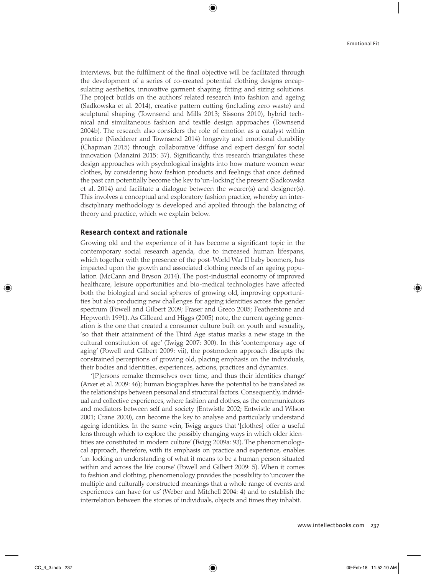interviews, but the fulfilment of the final objective will be facilitated through the development of a series of co-created potential clothing designs encapsulating aesthetics, innovative garment shaping, fitting and sizing solutions. The project builds on the authors' related research into fashion and ageing (Sadkowska et al. 2014), creative pattern cutting (including zero waste) and sculptural shaping (Townsend and Mills 2013; Sissons 2010), hybrid technical and simultaneous fashion and textile design approaches (Townsend 2004b). The research also considers the role of emotion as a catalyst within practice (Niedderer and Townsend 2014) longevity and emotional durability (Chapman 2015) through collaborative 'diffuse and expert design' for social innovation (Manzini 2015: 37). Significantly, this research triangulates these design approaches with psychological insights into how mature women wear clothes, by considering how fashion products and feelings that once defined the past can potentially become the key to 'un-locking' the present (Sadkowska et al. 2014) and facilitate a dialogue between the wearer(s) and designer(s). This involves a conceptual and exploratory fashion practice, whereby an interdisciplinary methodology is developed and applied through the balancing of theory and practice, which we explain below.

#### **Research context and rationale**

Growing old and the experience of it has become a significant topic in the contemporary social research agenda, due to increased human lifespans, which together with the presence of the post-World War II baby boomers, has impacted upon the growth and associated clothing needs of an ageing population (McCann and Bryson 2014). The post-industrial economy of improved healthcare, leisure opportunities and bio-medical technologies have affected both the biological and social spheres of growing old, improving opportunities but also producing new challenges for ageing identities across the gender spectrum (Powell and Gilbert 2009; Fraser and Greco 2005; Featherstone and Hepworth 1991). As Gilleard and Higgs (2005) note, the current ageing generation is the one that created a consumer culture built on youth and sexuality, 'so that their attainment of the Third Age status marks a new stage in the cultural constitution of age' (Twigg 2007: 300). In this 'contemporary age of aging' (Powell and Gilbert 2009: vii), the postmodern approach disrupts the constrained perceptions of growing old, placing emphasis on the individuals, their bodies and identities, experiences, actions, practices and dynamics.

'[P]ersons remake themselves over time, and thus their identities change' (Arxer et al. 2009: 46); human biographies have the potential to be translated as the relationships between personal and structural factors. Consequently, individual and collective experiences, where fashion and clothes, as the communicators and mediators between self and society (Entwistle 2002; Entwistle and Wilson 2001; Crane 2000), can become the key to analyse and particularly understand ageing identities. In the same vein, Twigg argues that '[clothes] offer a useful lens through which to explore the possibly changing ways in which older identities are constituted in modern culture' (Twigg 2009a: 93). The phenomenological approach, therefore, with its emphasis on practice and experience, enables 'un-locking an understanding of what it means to be a human person situated within and across the life course' (Powell and Gilbert 2009: 5). When it comes to fashion and clothing, phenomenology provides the possibility to 'uncover the multiple and culturally constructed meanings that a whole range of events and experiences can have for us' (Weber and Mitchell 2004: 4) and to establish the interrelation between the stories of individuals, objects and times they inhabit.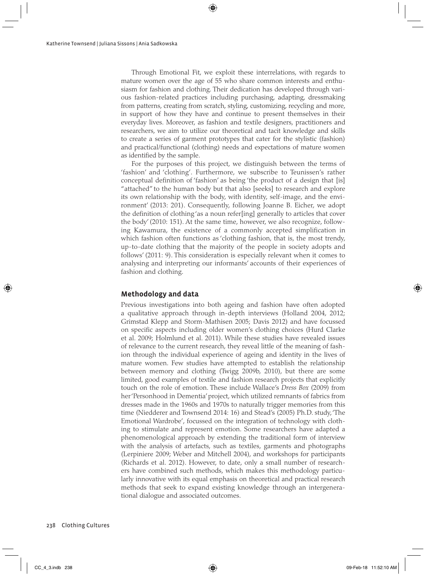Through Emotional Fit, we exploit these interrelations, with regards to mature women over the age of 55 who share common interests and enthusiasm for fashion and clothing. Their dedication has developed through various fashion-related practices including purchasing, adapting, dressmaking from patterns, creating from scratch, styling, customizing, recycling and more, in support of how they have and continue to present themselves in their everyday lives. Moreover, as fashion and textile designers, practitioners and researchers, we aim to utilize our theoretical and tacit knowledge and skills to create a series of garment prototypes that cater for the stylistic (fashion) and practical/functional (clothing) needs and expectations of mature women as identified by the sample.

For the purposes of this project, we distinguish between the terms of 'fashion' and 'clothing'. Furthermore, we subscribe to Teunissen's rather conceptual definition of 'fashion' as being 'the product of a design that [is] "attached" to the human body but that also [seeks] to research and explore its own relationship with the body, with identity, self-image, and the environment' (2013: 201). Consequently, following Joanne B. Eicher, we adopt the definition of clothing 'as a noun refer[ing] generally to articles that cover the body' (2010: 151). At the same time, however, we also recognize, following Kawamura, the existence of a commonly accepted simplification in which fashion often functions as 'clothing fashion, that is, the most trendy, up-to-date clothing that the majority of the people in society adopts and follows' (2011: 9). This consideration is especially relevant when it comes to analysing and interpreting our informants' accounts of their experiences of fashion and clothing.

## **Methodology and data**

Previous investigations into both ageing and fashion have often adopted a qualitative approach through in-depth interviews (Holland 2004, 2012; Grimstad Klepp and Storm-Mathisen 2005; Davis 2012) and have focussed on specific aspects including older women's clothing choices (Hurd Clarke et al. 2009; Holmlund et al. 2011). While these studies have revealed issues of relevance to the current research, they reveal little of the meaning of fashion through the individual experience of ageing and identity in the lives of mature women. Few studies have attempted to establish the relationship between memory and clothing (Twigg 2009b, 2010), but there are some limited, good examples of textile and fashion research projects that explicitly touch on the role of emotion. These include Wallace's *Dress Box* (2009) from her 'Personhood in Dementia' project, which utilized remnants of fabrics from dresses made in the 1960s and 1970s to naturally trigger memories from this time (Niedderer and Townsend 2014: 16) and Stead's (2005) Ph.D. study, 'The Emotional Wardrobe', focussed on the integration of technology with clothing to stimulate and represent emotion. Some researchers have adapted a phenomenological approach by extending the traditional form of interview with the analysis of artefacts, such as textiles, garments and photographs (Lerpiniere 2009; Weber and Mitchell 2004), and workshops for participants (Richards et al. 2012). However, to date, only a small number of researchers have combined such methods, which makes this methodology particularly innovative with its equal emphasis on theoretical and practical research methods that seek to expand existing knowledge through an intergenerational dialogue and associated outcomes.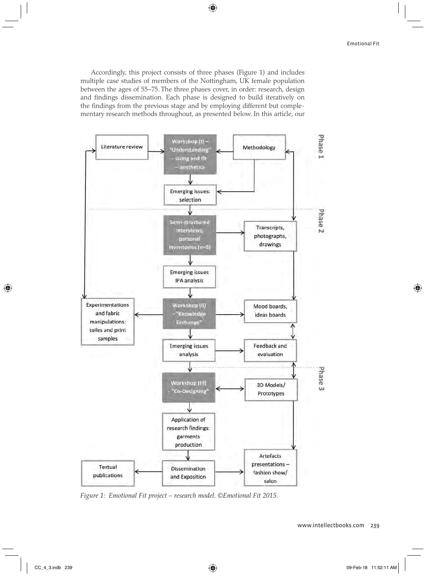Accordingly, this project consists of three phases (Figure 1) and includes multiple case studies of members of the Nottingham, UK female population between the ages of 55–75. The three phases cover, in order: research, design and findings dissemination. Each phase is designed to build iteratively on the findings from the previous stage and by employing different but complementary research methods throughout, as presented below. In this article, our



*Figure 1: Emotional Fit project – research model. ©Emotional Fit 2015.*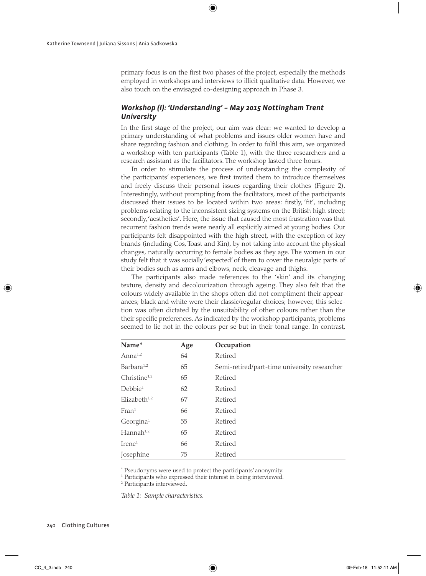primary focus is on the first two phases of the project, especially the methods employed in workshops and interviews to illicit qualitative data. However, we also touch on the envisaged co-designing approach in Phase 3.

# *Workshop (I): 'Understanding' – May 2015 Nottingham Trent University*

In the first stage of the project, our aim was clear: we wanted to develop a primary understanding of what problems and issues older women have and share regarding fashion and clothing. In order to fulfil this aim, we organized a workshop with ten participants (Table 1), with the three researchers and a research assistant as the facilitators. The workshop lasted three hours.

In order to stimulate the process of understanding the complexity of the participants' experiences, we first invited them to introduce themselves and freely discuss their personal issues regarding their clothes (Figure 2). Interestingly, without prompting from the facilitators, most of the participants discussed their issues to be located within two areas: firstly, 'fit', including problems relating to the inconsistent sizing systems on the British high street; secondly, 'aesthetics'. Here, the issue that caused the most frustration was that recurrent fashion trends were nearly all explicitly aimed at young bodies. Our participants felt disappointed with the high street, with the exception of key brands (including Cos, Toast and Kin), by not taking into account the physical changes, naturally occurring to female bodies as they age. The women in our study felt that it was socially 'expected' of them to cover the neuralgic parts of their bodies such as arms and elbows, neck, cleavage and thighs.

The participants also made references to the 'skin' and its changing texture, density and decolourization through ageing. They also felt that the colours widely available in the shops often did not compliment their appearances; black and white were their classic/regular choices; however, this selection was often dictated by the unsuitability of other colours rather than the their specific preferences. As indicated by the workshop participants, problems seemed to lie not in the colours per se but in their tonal range. In contrast,

| Name*                    | Age | Occupation                                   |
|--------------------------|-----|----------------------------------------------|
| Anna <sup>1,2</sup>      | 64  | Retired                                      |
| Barbara <sup>1,2</sup>   | 65  | Semi-retired/part-time university researcher |
| Christine <sup>1,2</sup> | 65  | Retired                                      |
| Debbie <sup>1</sup>      | 62  | Retired                                      |
| Elizabeth $1,2$          | 67  | Retired                                      |
| Fran <sup>1</sup>        | 66  | Retired                                      |
| Georgina <sup>1</sup>    | 55  | Retired                                      |
| Hannah <sup>1,2</sup>    | 65  | Retired                                      |
| $Tree1$                  | 66  | Retired                                      |
| Josephine                | 75  | Retired                                      |

\* Pseudonyms were used to protect the participants' anonymity.

<sup>1</sup> Participants who expressed their interest in being interviewed.

2 Participants interviewed.

*Table 1: Sample characteristics.*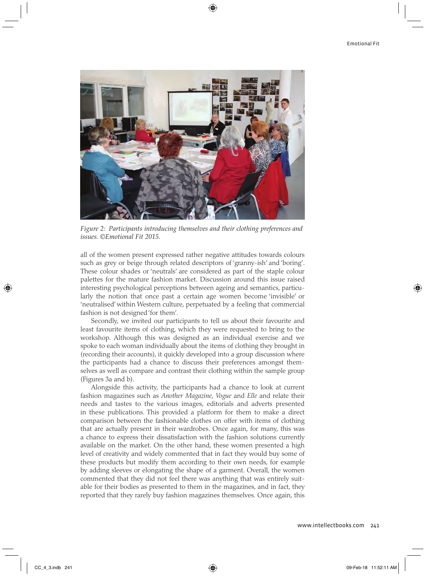

*Figure 2: Participants introducing themselves and their clothing preferences and issues. ©Emotional Fit 2015.*

all of the women present expressed rather negative attitudes towards colours such as grey or beige through related descriptors of 'granny-ish' and 'boring'. These colour shades or 'neutrals' are considered as part of the staple colour palettes for the mature fashion market. Discussion around this issue raised interesting psychological perceptions between ageing and semantics, particularly the notion that once past a certain age women become 'invisible' or 'neutralised' within Western culture, perpetuated by a feeling that commercial fashion is not designed 'for them'.

Secondly, we invited our participants to tell us about their favourite and least favourite items of clothing, which they were requested to bring to the workshop. Although this was designed as an individual exercise and we spoke to each woman individually about the items of clothing they brought in (recording their accounts), it quickly developed into a group discussion where the participants had a chance to discuss their preferences amongst themselves as well as compare and contrast their clothing within the sample group (Figures 3a and b).

Alongside this activity, the participants had a chance to look at current fashion magazines such as *Another Magazine*, *Vogue* and *Elle* and relate their needs and tastes to the various images, editorials and adverts presented in these publications. This provided a platform for them to make a direct comparison between the fashionable clothes on offer with items of clothing that are actually present in their wardrobes. Once again, for many, this was a chance to express their dissatisfaction with the fashion solutions currently available on the market. On the other hand, these women presented a high level of creativity and widely commented that in fact they would buy some of these products but modify them according to their own needs, for example by adding sleeves or elongating the shape of a garment. Overall, the women commented that they did not feel there was anything that was entirely suitable for their bodies as presented to them in the magazines, and in fact, they reported that they rarely buy fashion magazines themselves. Once again, this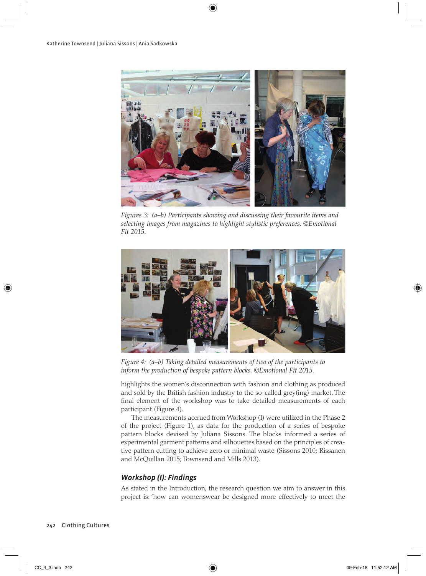

*Figures 3: (a–b) Participants showing and discussing their favourite items and selecting images from magazines to highlight stylistic preferences. ©Emotional Fit 2015.*



*Figure 4: (a–b) Taking detailed measurements of two of the participants to inform the production of bespoke pattern blocks. ©Emotional Fit 2015.*

highlights the women's disconnection with fashion and clothing as produced and sold by the British fashion industry to the so-called grey(ing) market. The final element of the workshop was to take detailed measurements of each participant (Figure 4).

The measurements accrued from Workshop (I) were utilized in the Phase 2 of the project (Figure 1), as data for the production of a series of bespoke pattern blocks devised by Juliana Sissons. The blocks informed a series of experimental garment patterns and silhouettes based on the principles of creative pattern cutting to achieve zero or minimal waste (Sissons 2010; Rissanen and McQuillan 2015; Townsend and Mills 2013).

# *Workshop (I): Findings*

As stated in the Introduction, the research question we aim to answer in this project is: 'how can womenswear be designed more effectively to meet the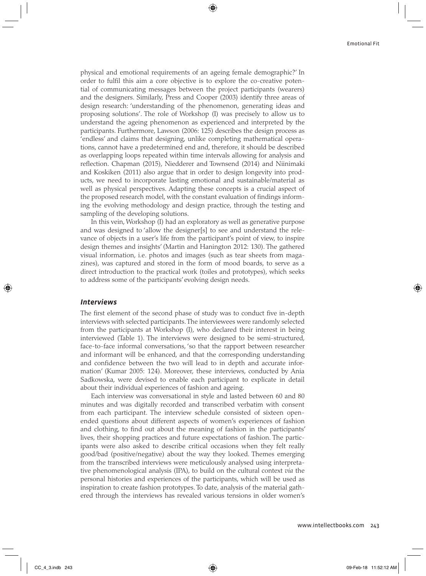physical and emotional requirements of an ageing female demographic?' In order to fulfil this aim a core objective is to explore the co-creative potential of communicating messages between the project participants (wearers) and the designers. Similarly, Press and Cooper (2003) identify three areas of design research: 'understanding of the phenomenon, generating ideas and proposing solutions'. The role of Workshop (I) was precisely to allow us to understand the ageing phenomenon as experienced and interpreted by the participants. Furthermore, Lawson (2006: 125) describes the design process as 'endless' and claims that designing, unlike completing mathematical operations, cannot have a predetermined end and, therefore, it should be described as overlapping loops repeated within time intervals allowing for analysis and reflection. Chapman (2015), Niedderer and Townsend (2014) and Niinimaki and Koskiken (2011) also argue that in order to design longevity into products, we need to incorporate lasting emotional and sustainable/material as well as physical perspectives. Adapting these concepts is a crucial aspect of the proposed research model, with the constant evaluation of findings informing the evolving methodology and design practice, through the testing and sampling of the developing solutions.

In this vein, Workshop (I) had an exploratory as well as generative purpose and was designed to 'allow the designer[s] to see and understand the relevance of objects in a user's life from the participant's point of view, to inspire design themes and insights' (Martin and Hanington 2012: 130). The gathered visual information, i.e. photos and images (such as tear sheets from magazines), was captured and stored in the form of mood boards, to serve as a direct introduction to the practical work (toiles and prototypes), which seeks to address some of the participants' evolving design needs.

#### *Interviews*

The first element of the second phase of study was to conduct five in-depth interviews with selected participants. The interviewees were randomly selected from the participants at Workshop (I), who declared their interest in being interviewed (Table 1). The interviews were designed to be semi-structured, face-to-face informal conversations, 'so that the rapport between researcher and informant will be enhanced, and that the corresponding understanding and confidence between the two will lead to in depth and accurate information' (Kumar 2005: 124). Moreover, these interviews, conducted by Ania Sadkowska, were devised to enable each participant to explicate in detail about their individual experiences of fashion and ageing.

Each interview was conversational in style and lasted between 60 and 80 minutes and was digitally recorded and transcribed verbatim with consent from each participant. The interview schedule consisted of sixteen openended questions about different aspects of women's experiences of fashion and clothing, to find out about the meaning of fashion in the participants' lives, their shopping practices and future expectations of fashion. The participants were also asked to describe critical occasions when they felt really good/bad (positive/negative) about the way they looked. Themes emerging from the transcribed interviews were meticulously analysed using interpretative phenomenological analysis (IPA), to build on the cultural context *via* the personal histories and experiences of the participants, which will be used as inspiration to create fashion prototypes. To date, analysis of the material gathered through the interviews has revealed various tensions in older women's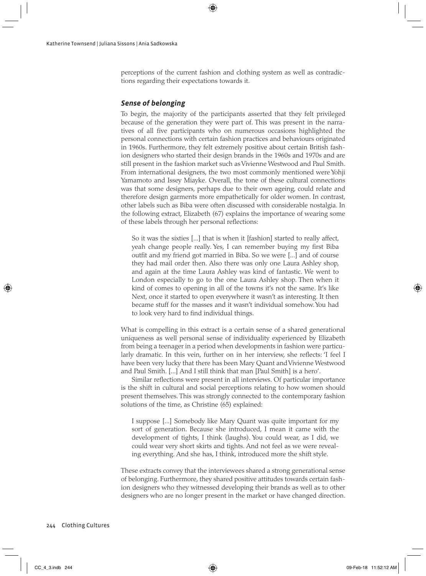perceptions of the current fashion and clothing system as well as contradictions regarding their expectations towards it.

#### *Sense of belonging*

To begin, the majority of the participants asserted that they felt privileged because of the generation they were part of. This was present in the narratives of all five participants who on numerous occasions highlighted the personal connections with certain fashion practices and behaviours originated in 1960s. Furthermore, they felt extremely positive about certain British fashion designers who started their design brands in the 1960s and 1970s and are still present in the fashion market such as Vivienne Westwood and Paul Smith. From international designers, the two most commonly mentioned were Yohji Yamamoto and Issey Miayke. Overall, the tone of these cultural connections was that some designers, perhaps due to their own ageing, could relate and therefore design garments more empathetically for older women. In contrast, other labels such as Biba were often discussed with considerable nostalgia. In the following extract, Elizabeth (67) explains the importance of wearing some of these labels through her personal reflections:

So it was the sixties [...] that is when it [fashion] started to really affect, yeah change people really. Yes, I can remember buying my first Biba outfit and my friend got married in Biba. So we were [...] and of course they had mail order then. Also there was only one Laura Ashley shop, and again at the time Laura Ashley was kind of fantastic. We went to London especially to go to the one Laura Ashley shop. Then when it kind of comes to opening in all of the towns it's not the same. It's like Next, once it started to open everywhere it wasn't as interesting. It then became stuff for the masses and it wasn't individual somehow. You had to look very hard to find individual things.

What is compelling in this extract is a certain sense of a shared generational uniqueness as well personal sense of individuality experienced by Elizabeth from being a teenager in a period when developments in fashion were particularly dramatic. In this vein, further on in her interview, she reflects: 'I feel I have been very lucky that there has been Mary Quant and Vivienne Westwood and Paul Smith. [...] And I still think that man [Paul Smith] is a hero'.

Similar reflections were present in all interviews. Of particular importance is the shift in cultural and social perceptions relating to how women should present themselves. This was strongly connected to the contemporary fashion solutions of the time, as Christine (65) explained:

I suppose [...] Somebody like Mary Quant was quite important for my sort of generation. Because she introduced, I mean it came with the development of tights, I think (laughs). You could wear, as I did, we could wear very short skirts and tights. And not feel as we were revealing everything. And she has, I think, introduced more the shift style.

These extracts convey that the interviewees shared a strong generational sense of belonging. Furthermore, they shared positive attitudes towards certain fashion designers who they witnessed developing their brands as well as to other designers who are no longer present in the market or have changed direction.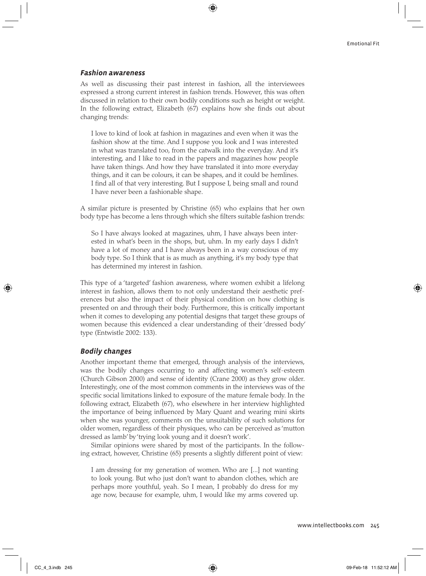#### *Fashion awareness*

As well as discussing their past interest in fashion, all the interviewees expressed a strong current interest in fashion trends. However, this was often discussed in relation to their own bodily conditions such as height or weight. In the following extract, Elizabeth (67) explains how she finds out about changing trends:

I love to kind of look at fashion in magazines and even when it was the fashion show at the time. And I suppose you look and I was interested in what was translated too, from the catwalk into the everyday. And it's interesting, and I like to read in the papers and magazines how people have taken things. And how they have translated it into more everyday things, and it can be colours, it can be shapes, and it could be hemlines. I find all of that very interesting. But I suppose I, being small and round I have never been a fashionable shape.

A similar picture is presented by Christine (65) who explains that her own body type has become a lens through which she filters suitable fashion trends:

So I have always looked at magazines, uhm, I have always been interested in what's been in the shops, but, uhm. In my early days I didn't have a lot of money and I have always been in a way conscious of my body type. So I think that is as much as anything, it's my body type that has determined my interest in fashion.

This type of a 'targeted' fashion awareness, where women exhibit a lifelong interest in fashion, allows them to not only understand their aesthetic preferences but also the impact of their physical condition on how clothing is presented on and through their body. Furthermore, this is critically important when it comes to developing any potential designs that target these groups of women because this evidenced a clear understanding of their 'dressed body' type (Entwistle 2002: 133).

#### *Bodily changes*

Another important theme that emerged, through analysis of the interviews, was the bodily changes occurring to and affecting women's self-esteem (Church Gibson 2000) and sense of identity (Crane 2000) as they grow older. Interestingly, one of the most common comments in the interviews was of the specific social limitations linked to exposure of the mature female body. In the following extract, Elizabeth (67), who elsewhere in her interview highlighted the importance of being influenced by Mary Quant and wearing mini skirts when she was younger, comments on the unsuitability of such solutions for older women, regardless of their physiques, who can be perceived as 'mutton dressed as lamb' by 'trying look young and it doesn't work'.

Similar opinions were shared by most of the participants. In the following extract, however, Christine (65) presents a slightly different point of view:

I am dressing for my generation of women. Who are [...] not wanting to look young. But who just don't want to abandon clothes, which are perhaps more youthful, yeah. So I mean, I probably do dress for my age now, because for example, uhm, I would like my arms covered up.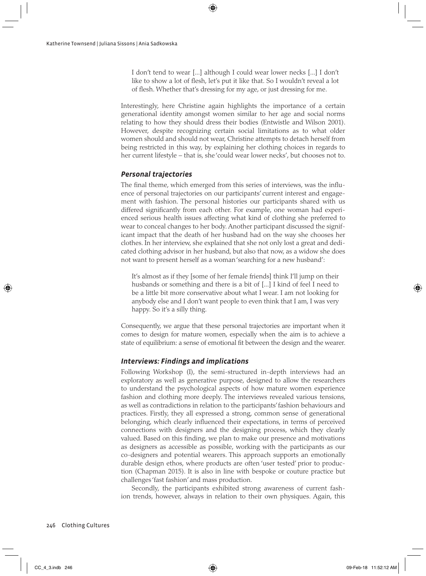I don't tend to wear [...] although I could wear lower necks [...] I don't like to show a lot of flesh, let's put it like that. So I wouldn't reveal a lot of flesh. Whether that's dressing for my age, or just dressing for me.

Interestingly, here Christine again highlights the importance of a certain generational identity amongst women similar to her age and social norms relating to how they should dress their bodies (Entwistle and Wilson 2001). However, despite recognizing certain social limitations as to what older women should and should not wear, Christine attempts to detach herself from being restricted in this way, by explaining her clothing choices in regards to her current lifestyle – that is, she 'could wear lower necks', but chooses not to.

## *Personal trajectories*

The final theme, which emerged from this series of interviews, was the influence of personal trajectories on our participants' current interest and engagement with fashion. The personal histories our participants shared with us differed significantly from each other. For example, one woman had experienced serious health issues affecting what kind of clothing she preferred to wear to conceal changes to her body. Another participant discussed the significant impact that the death of her husband had on the way she chooses her clothes. In her interview, she explained that she not only lost a great and dedicated clothing advisor in her husband, but also that now, as a widow she does not want to present herself as a woman 'searching for a new husband':

It's almost as if they [some of her female friends] think I'll jump on their husbands or something and there is a bit of [...] I kind of feel I need to be a little bit more conservative about what I wear. I am not looking for anybody else and I don't want people to even think that I am, I was very happy. So it's a silly thing.

Consequently, we argue that these personal trajectories are important when it comes to design for mature women, especially when the aim is to achieve a state of equilibrium: a sense of emotional fit between the design and the wearer.

## *Interviews: Findings and implications*

Following Workshop (I), the semi-structured in-depth interviews had an exploratory as well as generative purpose, designed to allow the researchers to understand the psychological aspects of how mature women experience fashion and clothing more deeply. The interviews revealed various tensions, as well as contradictions in relation to the participants' fashion behaviours and practices. Firstly, they all expressed a strong, common sense of generational belonging, which clearly influenced their expectations, in terms of perceived connections with designers and the designing process, which they clearly valued. Based on this finding, we plan to make our presence and motivations as designers as accessible as possible, working with the participants as our co-designers and potential wearers. This approach supports an emotionally durable design ethos, where products are often 'user tested' prior to production (Chapman 2015). It is also in line with bespoke or couture practice but challenges 'fast fashion' and mass production.

Secondly, the participants exhibited strong awareness of current fashion trends, however, always in relation to their own physiques. Again, this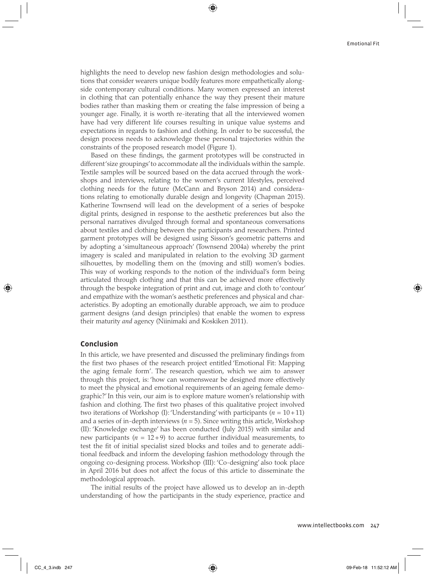highlights the need to develop new fashion design methodologies and solutions that consider wearers unique bodily features more empathetically alongside contemporary cultural conditions. Many women expressed an interest in clothing that can potentially enhance the way they present their mature bodies rather than masking them or creating the false impression of being a younger age. Finally, it is worth re-iterating that all the interviewed women have had very different life courses resulting in unique value systems and expectations in regards to fashion and clothing. In order to be successful, the design process needs to acknowledge these personal trajectories within the constraints of the proposed research model (Figure 1).

Based on these findings, the garment prototypes will be constructed in different 'size groupings' to accommodate all the individuals within the sample. Textile samples will be sourced based on the data accrued through the workshops and interviews, relating to the women's current lifestyles, perceived clothing needs for the future (McCann and Bryson 2014) and considerations relating to emotionally durable design and longevity (Chapman 2015). Katherine Townsend will lead on the development of a series of bespoke digital prints, designed in response to the aesthetic preferences but also the personal narratives divulged through formal and spontaneous conversations about textiles and clothing between the participants and researchers. Printed garment prototypes will be designed using Sisson's geometric patterns and by adopting a 'simultaneous approach' (Townsend 2004a) whereby the print imagery is scaled and manipulated in relation to the evolving 3D garment silhouettes, by modelling them on the (moving and still) women's bodies. This way of working responds to the notion of the individual's form being articulated through clothing and that this can be achieved more effectively through the bespoke integration of print and cut, image and cloth to 'contour' and empathize with the woman's aesthetic preferences and physical and characteristics. By adopting an emotionally durable approach, we aim to produce garment designs (and design principles) that enable the women to express their maturity *and* agency (Niinimaki and Koskiken 2011).

#### **Conclusion**

In this article, we have presented and discussed the preliminary findings from the first two phases of the research project entitled 'Emotional Fit: Mapping the aging female form'. The research question, which we aim to answer through this project, is: 'how can womenswear be designed more effectively to meet the physical and emotional requirements of an ageing female demographic?' In this vein, our aim is to explore mature women's relationship with fashion and clothing. The first two phases of this qualitative project involved two iterations of Workshop (I): 'Understanding' with participants  $(n = 10+11)$ and a series of in-depth interviews  $(n = 5)$ . Since writing this article, Workshop (II): 'Knowledge exchange' has been conducted (July 2015) with similar and new participants  $(n = 12+9)$  to accrue further individual measurements, to test the fit of initial specialist sized blocks and toiles and to generate additional feedback and inform the developing fashion methodology through the ongoing co-designing process. Workshop (III): 'Co-designing' also took place in April 2016 but does not affect the focus of this article to disseminate the methodological approach.

The initial results of the project have allowed us to develop an in-depth understanding of how the participants in the study experience, practice and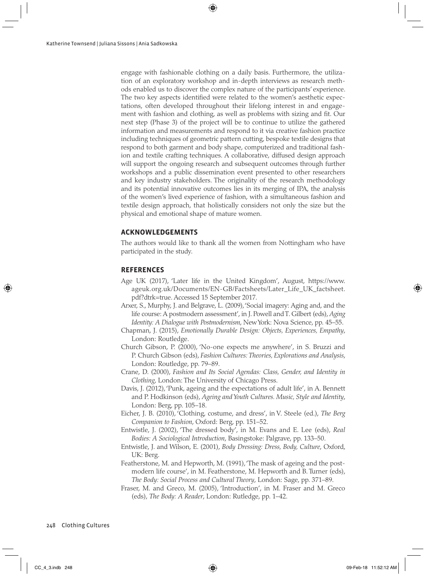engage with fashionable clothing on a daily basis. Furthermore, the utilization of an exploratory workshop and in-depth interviews as research methods enabled us to discover the complex nature of the participants' experience. The two key aspects identified were related to the women's aesthetic expectations, often developed throughout their lifelong interest in and engagement with fashion and clothing, as well as problems with sizing and fit. Our next step (Phase 3) of the project will be to continue to utilize the gathered information and measurements and respond to it via creative fashion practice including techniques of geometric pattern cutting, bespoke textile designs that respond to both garment and body shape, computerized and traditional fashion and textile crafting techniques. A collaborative, diffused design approach will support the ongoing research and subsequent outcomes through further workshops and a public dissemination event presented to other researchers and key industry stakeholders. The originality of the research methodology and its potential innovative outcomes lies in its merging of IPA, the analysis of the women's lived experience of fashion, with a simultaneous fashion and textile design approach, that holistically considers not only the size but the physical and emotional shape of mature women.

#### **ACKNOWLEDGEMENTS**

The authors would like to thank all the women from Nottingham who have participated in the study.

#### **REFERENCES**

- Age UK (2017), 'Later life in the United Kingdom', August, https://www. ageuk.org.uk/Documents/EN-GB/Factsheets/Later\_Life\_UK\_factsheet. pdf?dtrk=true. Accessed 15 September 2017.
- Arxer, S., Murphy, J. and Belgrave, L. (2009), 'Social imagery: Aging and, and the life course: A postmodern assessment', in J. Powell and T. Gilbert (eds), *Aging Identity: A Dialogue with Postmodernism*, New York: Nova Science, pp. 45–55.
- Chapman, J. (2015), *Emotionally Durable Design: Objects, Experiences, Empathy*, London: Routledge.
- Church Gibson, P. (2000), 'No-one expects me anywhere', in S. Bruzzi and P. Church Gibson (eds), *Fashion Cultures: Theories, Explorations and Analysis*, London: Routledge, pp. 79–89.
- Crane, D. (2000), *Fashion and Its Social Agendas: Class, Gender, and Identity in Clothing*, London: The University of Chicago Press.
- Davis, J. (2012), 'Punk, ageing and the expectations of adult life', in A. Bennett and P. Hodkinson (eds), *Ageing and Youth Cultures. Music, Style and Identity*, London: Berg, pp. 105–18.
- Eicher, J. B. (2010), 'Clothing, costume, and dress', in V. Steele (ed.), *The Berg Companion to Fashion*, Oxford: Berg, pp. 151–52.
- Entwistle, J. (2002), 'The dressed body', in M. Evans and E. Lee (eds), *Real Bodies: A Sociological Introduction*, Basingstoke: Palgrave, pp. 133–50.
- Entwistle, J. and Wilson, E. (2001), *Body Dressing: Dress, Body, Culture*, Oxford, UK: Berg.
- Featherstone, M. and Hepworth, M. (1991), 'The mask of ageing and the postmodern life course', in M. Featherstone, M. Hepworth and B. Turner (eds), *The Body: Social Process and Cultural Theory*, London: Sage, pp. 371–89.
- Fraser, M. and Greco, M. (2005), 'Introduction', in M. Fraser and M. Greco (eds), *The Body: A Reader*, London: Rutledge, pp. 1–42.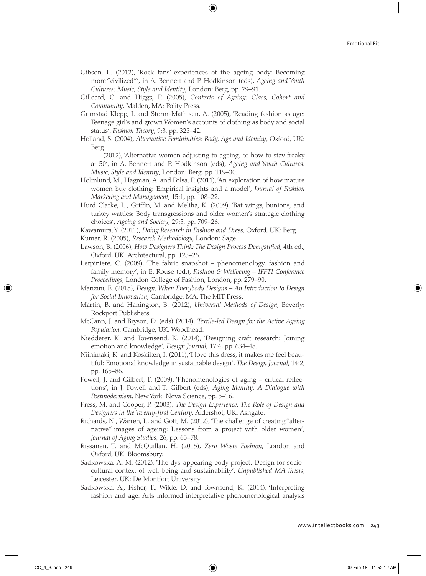- Gibson, L. (2012), 'Rock fans' experiences of the ageing body: Becoming more "civilized"', in A. Bennett and P. Hodkinson (eds), *Ageing and Youth Cultures: Music, Style and Identity*, London: Berg, pp. 79–91.
- Gilleard, C. and Higgs, P. (2005), *Contexts of Ageing: Class, Cohort and Community*, Malden, MA: Polity Press.
- Grimstad Klepp, I. and Storm-Mathisen, A. (2005), 'Reading fashion as age: Teenage girl's and grown Women's accounts of clothing as body and social status', *Fashion Theory*, 9:3, pp. 323–42.
- Holland, S. (2004), *Alternative Femininities: Body, Age and Identity*, Oxford, UK: Berg.
	- $-$  (2012), 'Alternative women adjusting to ageing, or how to stay freaky at 50', in A. Bennett and P. Hodkinson (eds), *Ageing and Youth Cultures: Music, Style and Identity*, London: Berg, pp. 119–30.
- Holmlund, M., Hagman, A. and Polsa, P. (2011), 'An exploration of how mature women buy clothing: Empirical insights and a model', *Journal of Fashion Marketing and Management*, 15:1, pp. 108–22.
- Hurd Clarke, L., Griffin, M. and Meliha, K. (2009), 'Bat wings, bunions, and turkey wattles: Body transgressions and older women's strategic clothing choices', *Ageing and Society*, 29:5, pp. 709–26.
- Kawamura, Y. (2011), *Doing Research in Fashion and Dress*, Oxford, UK: Berg.

Kumar, R. (2005), *Research Methodology*, London: Sage.

- Lawson, B. (2006), *How Designers Think: The Design Process Demystified*, 4th ed., Oxford, UK: Architectural, pp. 123–26.
- Lerpiniere, C. (2009), 'The fabric snapshot phenomenology, fashion and family memory', in E. Rouse (ed.), *Fashion & Wellbeing – IFFTI Conference Proceedings*, London College of Fashion, London, pp. 279–90.
- Manzini, E. (2015), *Design, When Everybody Designs An Introduction to Design for Social Innovation*, Cambridge, MA: The MIT Press.
- Martin, B. and Hanington, B. (2012), *Universal Methods of Design*, Beverly: Rockport Publishers.
- McCann, J. and Bryson, D. (eds) (2014), *Textile-led Design for the Active Ageing Population*, Cambridge, UK: Woodhead.
- Niedderer, K. and Townsend, K. (2014), 'Designing craft research: Joining emotion and knowledge', *Design Journal*, 17:4, pp. 634–48.
- Niinimaki, K. and Koskiken, I. (2011), 'I love this dress, it makes me feel beautiful: Emotional knowledge in sustainable design', *The Design Journal*, 14:2, pp. 165–86.
- Powell, J. and Gilbert, T. (2009), 'Phenomenologies of aging critical reflections', in J. Powell and T. Gilbert (eds), *Aging Identity: A Dialogue with Postmodernism*, New York: Nova Science, pp. 5–16.
- Press, M. and Cooper, P. (2003), *The Design Experience: The Role of Design and Designers in the Twenty-first Century*, Aldershot, UK: Ashgate.
- Richards, N., Warren, L. and Gott, M. (2012), 'The challenge of creating "alternative" images of ageing: Lessons from a project with older women', *Journal of Aging Studies*, 26, pp. 65–78.
- Rissanen, T. and McQuillan, H. (2015), *Zero Waste Fashion*, London and Oxford, UK: Bloomsbury.
- Sadkowska, A. M. (2012), 'The dys-appearing body project: Design for sociocultural context of well-being and sustainability', *Unpublished MA thesis*, Leicester, UK: De Montfort University.
- Sadkowska, A., Fisher, T., Wilde, D. and Townsend, K. (2014), 'Interpreting fashion and age: Arts-informed interpretative phenomenological analysis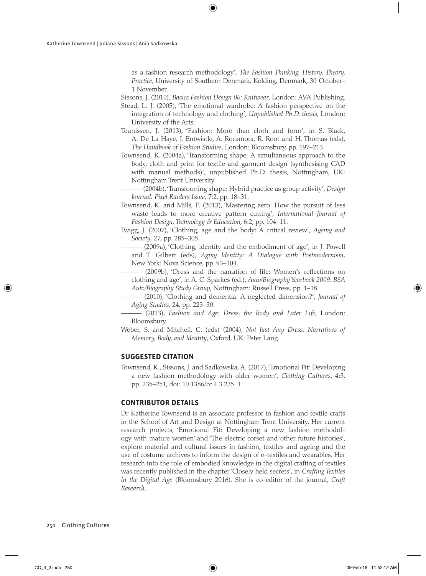as a fashion research methodology', *The Fashion Thinking, History, Theory, Practice*, University of Southern Denmark, Kolding, Denmark, 30 October– 1 November.

Sissons, J. (2010), *Basics Fashion Design 06: Knitwear*, London: AVA Publishing.

- Stead, L. J. (2005), 'The emotional wardrobe: A fashion perspective on the integration of technology and clothing', *Unpublished Ph.D. thesis*, London: University of the Arts.
- Teunissen, J. (2013), 'Fashion: More than cloth and form', in S. Black, A. De La Haye, J. Entwistle, A. Rocamora, R. Root and H. Thomas (eds), *The Handbook of Fashion Studies*, London: Bloomsbury, pp. 197–213.
- Townsend, K. (2004a), 'Transforming shape: A simultaneous approach to the body, cloth and print for textile and garment design (synthesising CAD with manual methods)', unpublished Ph.D. thesis, Nottingham, UK: Nottingham Trent University.

——— (2004b), 'Transforming shape: Hybrid practice as group activity', *Design Journal: Pixel Raiders Issue*, 7:2, pp. 18–31.

- Townsend, K. and Mills, F. (2013), 'Mastering zero: How the pursuit of less waste leads to more creative pattern cutting', *International Journal of Fashion Design, Technology & Education*, 6:2, pp. 104–11.
- Twigg, J. (2007), 'Clothing, age and the body: A critical review', *Ageing and Society*, 27, pp. 285–305.
	- (2009a), 'Clothing, identity and the embodiment of age', in J. Powell and T. Gilbert (eds), *Aging Identity: A Dialogue with Postmodernism*, New York: Nova Science, pp. 93–104.
	- (2009b), 'Dress and the narration of life: Women's reflections on clothing and age', in A. C. Sparkes (ed.), *Auto/Biography Yearbook 2009: BSA Auto/Biography Study Group*, Nottingham: Russell Press, pp. 1–18.
	- ——— (2010), 'Clothing and dementia: A neglected dimension?', *Journal of Aging Studies*, 24, pp. 223–30.
	- ——— (2013), *Fashion and Age: Dress, the Body and Later Life*, London: Bloomsbury.
- Weber, S. and Mitchell, C. (eds) (2004), *Not Just Any Dress: Narratives of Memory, Body, and Identity*, Oxford, UK: Peter Lang.

#### **SUGGESTED CITATION**

Townsend, K., Sissons, J. and Sadkowska, A. (2017), 'Emotional Fit: Developing a new fashion methodology with older women', *Clothing Cultures*, 4:3, pp. 235–251, doi: 10.1386/cc.4.3.235\_1

#### **CONTRIBUTOR DETAILS**

Dr Katherine Townsend is an associate professor in fashion and textile crafts in the School of Art and Design at Nottingham Trent University. Her current research projects, 'Emotional Fit: Developing a new fashion methodology with mature women' and 'The electric corset and other future histories', explore material and cultural issues in fashion, textiles and ageing and the use of costume archives to inform the design of e-textiles and wearables. Her research into the role of embodied knowledge in the digital crafting of textiles was recently published in the chapter 'Closely held secrets', in *Crafting Textiles in the Digital Age* (Bloomsbury 2016). She is co-editor of the journal, *Craft Research*.